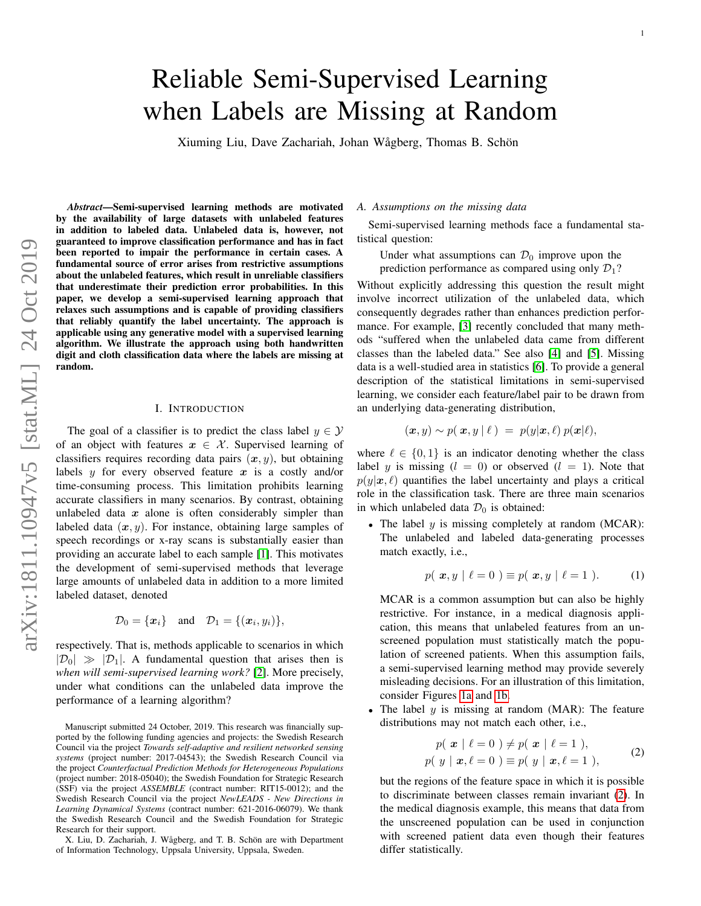# Reliable Semi-Supervised Learning when Labels are Missing at Random

Xiuming Liu, Dave Zachariah, Johan Wågberg, Thomas B. Schön

*Abstract*—Semi-supervised learning methods are motivated by the availability of large datasets with unlabeled features in addition to labeled data. Unlabeled data is, however, not guaranteed to improve classification performance and has in fact been reported to impair the performance in certain cases. A fundamental source of error arises from restrictive assumptions about the unlabeled features, which result in unreliable classifiers that underestimate their prediction error probabilities. In this paper, we develop a semi-supervised learning approach that relaxes such assumptions and is capable of providing classifiers that reliably quantify the label uncertainty. The approach is applicable using any generative model with a supervised learning algorithm. We illustrate the approach using both handwritten digit and cloth classification data where the labels are missing at random.

# I. INTRODUCTION

The goal of a classifier is to predict the class label  $y \in \mathcal{Y}$ of an object with features  $x \in \mathcal{X}$ . Supervised learning of classifiers requires recording data pairs  $(x, y)$ , but obtaining labels  $y$  for every observed feature  $x$  is a costly and/or time-consuming process. This limitation prohibits learning accurate classifiers in many scenarios. By contrast, obtaining unlabeled data  $x$  alone is often considerably simpler than labeled data  $(x, y)$ . For instance, obtaining large samples of speech recordings or x-ray scans is substantially easier than providing an accurate label to each sample [\[1\]](#page-6-0). This motivates the development of semi-supervised methods that leverage large amounts of unlabeled data in addition to a more limited labeled dataset, denoted

$$
\mathcal{D}_0 = \{\boldsymbol{x}_i\} \quad \text{and} \quad \mathcal{D}_1 = \{(\boldsymbol{x}_i, y_i)\},
$$

respectively. That is, methods applicable to scenarios in which  $|\mathcal{D}_0| \gg |\mathcal{D}_1|$ . A fundamental question that arises then is *when will semi-supervised learning work?* [\[2\]](#page-6-1). More precisely, under what conditions can the unlabeled data improve the performance of a learning algorithm?

#### *A. Assumptions on the missing data*

Semi-supervised learning methods face a fundamental statistical question:

Under what assumptions can  $\mathcal{D}_0$  improve upon the prediction performance as compared using only  $\mathcal{D}_1$ ?

Without explicitly addressing this question the result might involve incorrect utilization of the unlabeled data, which consequently degrades rather than enhances prediction performance. For example, [\[3\]](#page-6-2) recently concluded that many methods "suffered when the unlabeled data came from different classes than the labeled data." See also [\[4\]](#page-6-3) and [\[5\]](#page-6-4). Missing data is a well-studied area in statistics [\[6\]](#page-6-5). To provide a general description of the statistical limitations in semi-supervised learning, we consider each feature/label pair to be drawn from an underlying data-generating distribution,

$$
(\boldsymbol{x},y) \sim p(\boldsymbol{x},y\,|\,\ell\,) \;=\; p(y|\boldsymbol{x},\ell) \; p(\boldsymbol{x}|\ell),
$$

where  $\ell \in \{0, 1\}$  is an indicator denoting whether the class label y is missing  $(l = 0)$  or observed  $(l = 1)$ . Note that  $p(y|x, \ell)$  quantifies the label uncertainty and plays a critical role in the classification task. There are three main scenarios in which unlabeled data  $\mathcal{D}_0$  is obtained:

• The label  $y$  is missing completely at random (MCAR): The unlabeled and labeled data-generating processes match exactly, i.e.,

$$
p(\mathbf{x}, y \mid \ell = 0) \equiv p(\mathbf{x}, y \mid \ell = 1). \tag{1}
$$

<span id="page-0-1"></span>MCAR is a common assumption but can also be highly restrictive. For instance, in a medical diagnosis application, this means that unlabeled features from an unscreened population must statistically match the population of screened patients. When this assumption fails, a semi-supervised learning method may provide severely misleading decisions. For an illustration of this limitation, consider Figures [1a](#page-1-0) and [1b.](#page-1-0)

The label  $y$  is missing at random (MAR): The feature distributions may not match each other, i.e.,

$$
p(\mathbf{x} \mid \ell = 0) \neq p(\mathbf{x} \mid \ell = 1),
$$
  
\n
$$
p(\mathbf{y} \mid \mathbf{x}, \ell = 0) \equiv p(\mathbf{y} \mid \mathbf{x}, \ell = 1),
$$
\n(2)

<span id="page-0-0"></span>but the regions of the feature space in which it is possible to discriminate between classes remain invariant [\(2\)](#page-0-0). In the medical diagnosis example, this means that data from the unscreened population can be used in conjunction with screened patient data even though their features differ statistically.

Manuscript submitted 24 October, 2019. This research was financially supported by the following funding agencies and projects: the Swedish Research Council via the project *Towards self-adaptive and resilient networked sensing systems* (project number: 2017-04543); the Swedish Research Council via the project *Counterfactual Prediction Methods for Heterogeneous Populations* (project number: 2018-05040); the Swedish Foundation for Strategic Research (SSF) via the project *ASSEMBLE* (contract number: RIT15-0012); and the Swedish Research Council via the project *NewLEADS - New Directions in Learning Dynamical Systems* (contract number: 621-2016-06079). We thank the Swedish Research Council and the Swedish Foundation for Strategic Research for their support.

X. Liu, D. Zachariah, J. Wågberg, and T. B. Schön are with Department of Information Technology, Uppsala University, Uppsala, Sweden.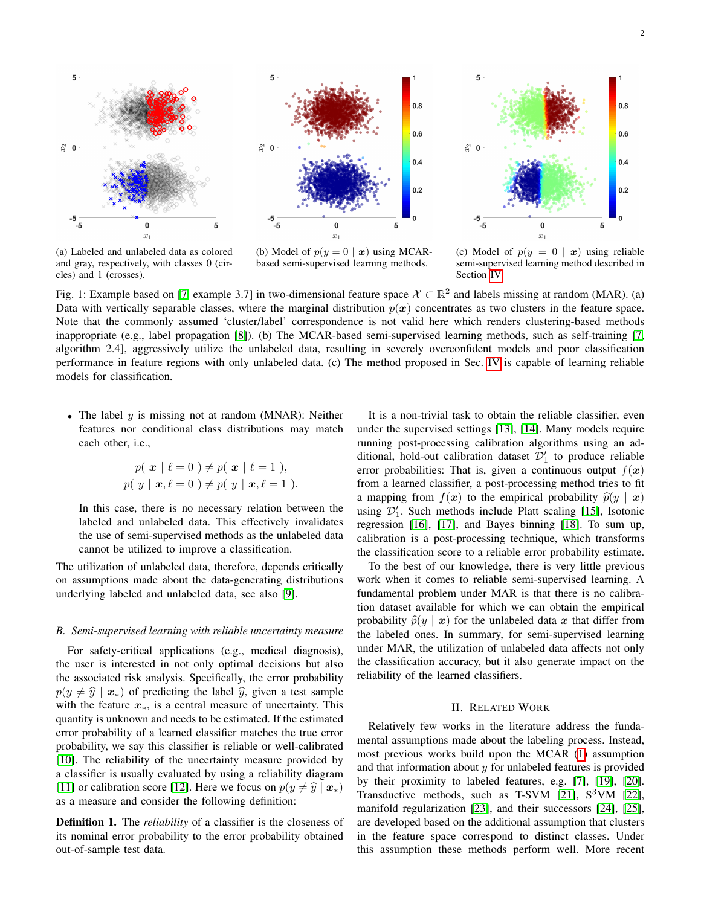<span id="page-1-0"></span>

(a) Labeled and unlabeled data as colored and gray, respectively, with classes 0 (circles) and 1 (crosses).

(b) Model of  $p(y = 0 | x)$  using MCARbased semi-supervised learning methods.

(c) Model of  $p(y = 0 | x)$  using reliable semi-supervised learning method described in Section [IV.](#page-3-0)

Fig. 1: Example based on [\[7,](#page-6-6) example 3.7] in two-dimensional feature space  $\mathcal{X} \subset \mathbb{R}^2$  and labels missing at random (MAR). (a) Data with vertically separable classes, where the marginal distribution  $p(x)$  concentrates as two clusters in the feature space. Note that the commonly assumed 'cluster/label' correspondence is not valid here which renders clustering-based methods inappropriate (e.g., label propagation [\[8\]](#page-6-7)). (b) The MCAR-based semi-supervised learning methods, such as self-training [\[7,](#page-6-6) algorithm 2.4], aggressively utilize the unlabeled data, resulting in severely overconfident models and poor classification performance in feature regions with only unlabeled data. (c) The method proposed in Sec. [IV](#page-3-0) is capable of learning reliable models for classification.

• The label  $y$  is missing not at random (MNAR): Neither features nor conditional class distributions may match each other, i.e.,

$$
p(\mathbf{x} \mid \ell = 0) \neq p(\mathbf{x} \mid \ell = 1),
$$
  
 
$$
p(\mathbf{y} \mid \mathbf{x}, \ell = 0) \neq p(\mathbf{y} \mid \mathbf{x}, \ell = 1).
$$

In this case, there is no necessary relation between the labeled and unlabeled data. This effectively invalidates the use of semi-supervised methods as the unlabeled data cannot be utilized to improve a classification.

The utilization of unlabeled data, therefore, depends critically on assumptions made about the data-generating distributions underlying labeled and unlabeled data, see also [\[9\]](#page-6-8).

### *B. Semi-supervised learning with reliable uncertainty measure*

For safety-critical applications (e.g., medical diagnosis), the user is interested in not only optimal decisions but also the associated risk analysis. Specifically, the error probability  $p(y \neq \hat{y} | x_{*})$  of predicting the label  $\hat{y}$ , given a test sample with the feature  $x<sub>*</sub>$ , is a central measure of uncertainty. This quantity is unknown and needs to be estimated. If the estimated error probability of a learned classifier matches the true error probability, we say this classifier is reliable or well-calibrated [\[10\]](#page-6-9). The reliability of the uncertainty measure provided by a classifier is usually evaluated by using a reliability diagram [\[11\]](#page-6-10) or calibration score [\[12\]](#page-6-11). Here we focus on  $p(y \neq \hat{y} | x_{*})$ as a measure and consider the following definition:

Definition 1. The *reliability* of a classifier is the closeness of its nominal error probability to the error probability obtained out-of-sample test data.

It is a non-trivial task to obtain the reliable classifier, even under the supervised settings [\[13\]](#page-6-12), [\[14\]](#page-7-0). Many models require running post-processing calibration algorithms using an additional, hold-out calibration dataset  $\mathcal{D}'_1$  to produce reliable error probabilities: That is, given a continuous output  $f(x)$ from a learned classifier, a post-processing method tries to fit a mapping from  $f(x)$  to the empirical probability  $\hat{p}(y | x)$ using  $\mathcal{D}'_1$ . Such methods include Platt scaling [\[15\]](#page-7-1), Isotonic regression [\[16\]](#page-7-2), [\[17\]](#page-7-3), and Bayes binning [\[18\]](#page-7-4). To sum up, calibration is a post-processing technique, which transforms the classification score to a reliable error probability estimate.

To the best of our knowledge, there is very little previous work when it comes to reliable semi-supervised learning. A fundamental problem under MAR is that there is no calibration dataset available for which we can obtain the empirical probability  $\hat{p}(y | x)$  for the unlabeled data x that differ from the labeled ones. In summary, for semi-supervised learning under MAR, the utilization of unlabeled data affects not only the classification accuracy, but it also generate impact on the reliability of the learned classifiers.

## II. RELATED WORK

Relatively few works in the literature address the fundamental assumptions made about the labeling process. Instead, most previous works build upon the MCAR [\(1\)](#page-0-1) assumption and that information about  $y$  for unlabeled features is provided by their proximity to labeled features, e.g. [\[7\]](#page-6-6), [\[19\]](#page-7-5), [\[20\]](#page-7-6). Transductive methods, such as T-SVM  $[21]$ , S<sup>3</sup>VM  $[22]$ , manifold regularization [\[23\]](#page-7-9), and their successors [\[24\]](#page-7-10), [\[25\]](#page-7-11), are developed based on the additional assumption that clusters in the feature space correspond to distinct classes. Under this assumption these methods perform well. More recent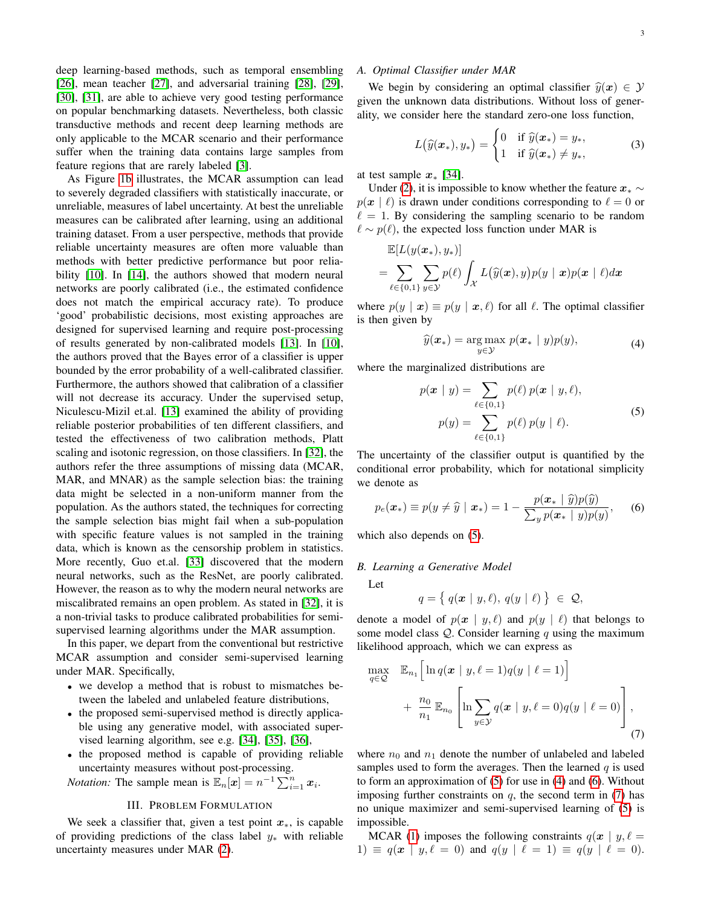deep learning-based methods, such as temporal ensembling [\[26\]](#page-7-12), mean teacher [\[27\]](#page-7-13), and adversarial training [\[28\]](#page-7-14), [\[29\]](#page-7-15), [\[30\]](#page-7-16), [\[31\]](#page-7-17), are able to achieve very good testing performance on popular benchmarking datasets. Nevertheless, both classic transductive methods and recent deep learning methods are only applicable to the MCAR scenario and their performance suffer when the training data contains large samples from feature regions that are rarely labeled [\[3\]](#page-6-2).

As Figure [1b](#page-1-0) illustrates, the MCAR assumption can lead to severely degraded classifiers with statistically inaccurate, or unreliable, measures of label uncertainty. At best the unreliable measures can be calibrated after learning, using an additional training dataset. From a user perspective, methods that provide reliable uncertainty measures are often more valuable than methods with better predictive performance but poor relia-bility [\[10\]](#page-6-9). In [\[14\]](#page-7-0), the authors showed that modern neural networks are poorly calibrated (i.e., the estimated confidence does not match the empirical accuracy rate). To produce 'good' probabilistic decisions, most existing approaches are designed for supervised learning and require post-processing of results generated by non-calibrated models [\[13\]](#page-6-12). In [\[10\]](#page-6-9), the authors proved that the Bayes error of a classifier is upper bounded by the error probability of a well-calibrated classifier. Furthermore, the authors showed that calibration of a classifier will not decrease its accuracy. Under the supervised setup, Niculescu-Mizil et.al. [\[13\]](#page-6-12) examined the ability of providing reliable posterior probabilities of ten different classifiers, and tested the effectiveness of two calibration methods, Platt scaling and isotonic regression, on those classifiers. In [\[32\]](#page-7-18), the authors refer the three assumptions of missing data (MCAR, MAR, and MNAR) as the sample selection bias: the training data might be selected in a non-uniform manner from the population. As the authors stated, the techniques for correcting the sample selection bias might fail when a sub-population with specific feature values is not sampled in the training data, which is known as the censorship problem in statistics. More recently, Guo et.al. [\[33\]](#page-7-19) discovered that the modern neural networks, such as the ResNet, are poorly calibrated. However, the reason as to why the modern neural networks are miscalibrated remains an open problem. As stated in [\[32\]](#page-7-18), it is a non-trivial tasks to produce calibrated probabilities for semisupervised learning algorithms under the MAR assumption.

In this paper, we depart from the conventional but restrictive MCAR assumption and consider semi-supervised learning under MAR. Specifically,

- we develop a method that is robust to mismatches between the labeled and unlabeled feature distributions,
- the proposed semi-supervised method is directly applicable using any generative model, with associated supervised learning algorithm, see e.g. [\[34\]](#page-7-20), [\[35\]](#page-7-21), [\[36\]](#page-7-22),
- the proposed method is capable of providing reliable uncertainty measures without post-processing.

*Notation:* The sample mean is  $\mathbb{E}_n[\boldsymbol{x}] = n^{-1} \sum_{i=1}^n \boldsymbol{x}_i$ .

# III. PROBLEM FORMULATION

We seek a classifier that, given a test point  $x<sub>*</sub>$ , is capable of providing predictions of the class label  $y_*$  with reliable uncertainty measures under MAR [\(2\)](#page-0-0).

# *A. Optimal Classifier under MAR*

We begin by considering an optimal classifier  $\hat{y}(x) \in \mathcal{Y}$ given the unknown data distributions. Without loss of generality, we consider here the standard zero-one loss function,

$$
L(\widehat{y}(\boldsymbol{x}_*), y_*) = \begin{cases} 0 & \text{if } \widehat{y}(\boldsymbol{x}_*) = y_*, \\ 1 & \text{if } \widehat{y}(\boldsymbol{x}_*) \neq y_*, \end{cases}
$$
 (3)

at test sample  $x_*$  [\[34\]](#page-7-20).

Under [\(2\)](#page-0-0), it is impossible to know whether the feature  $x_* \sim$  $p(x | \ell)$  is drawn under conditions corresponding to  $\ell = 0$  or  $\ell = 1$ . By considering the sampling scenario to be random  $\ell \sim p(\ell)$ , the expected loss function under MAR is

$$
\mathbb{E}[L(y(\boldsymbol{x}_*), y_*)] = \sum_{\ell \in \{0,1\}} \sum_{y \in \mathcal{Y}} p(\ell) \int_{\mathcal{X}} L(\widehat{y}(\boldsymbol{x}), y) p(y \mid \boldsymbol{x}) p(\boldsymbol{x} \mid \ell) d\boldsymbol{x}
$$

where  $p(y | x) \equiv p(y | x, \ell)$  for all  $\ell$ . The optimal classifier is then given by

$$
\widehat{y}(\boldsymbol{x}_{*}) = \underset{y \in \mathcal{Y}}{\arg \max} \ p(\boldsymbol{x}_{*} \mid y)p(y), \qquad (4)
$$

<span id="page-2-1"></span><span id="page-2-0"></span>where the marginalized distributions are

$$
p(\mathbf{x} \mid y) = \sum_{\ell \in \{0,1\}} p(\ell) \ p(\mathbf{x} \mid y, \ell),
$$
  
\n
$$
p(y) = \sum_{\ell \in \{0,1\}} p(\ell) \ p(y \mid \ell).
$$
\n(5)

The uncertainty of the classifier output is quantified by the conditional error probability, which for notational simplicity we denote as

<span id="page-2-2"></span>
$$
p_e(\boldsymbol{x}_*) \equiv p(y \neq \widehat{y} \mid \boldsymbol{x}_*) = 1 - \frac{p(\boldsymbol{x}_* \mid \widehat{y})p(\widehat{y})}{\sum_y p(\boldsymbol{x}_* \mid y)p(y)}, \qquad (6)
$$

which also depends on [\(5\)](#page-2-0).

## *B. Learning a Generative Model*

Let

$$
q = \{ q(\boldsymbol{x} \mid y, \ell), \, q(y \mid \ell) \} \ \in \ \mathcal{Q},
$$

denote a model of  $p(x | y, \ell)$  and  $p(y | \ell)$  that belongs to some model class  $Q$ . Consider learning q using the maximum likelihood approach, which we can express as

<span id="page-2-3"></span>
$$
\max_{q \in \mathcal{Q}} \mathbb{E}_{n_1} \left[ \ln q(\boldsymbol{x} \mid y, \ell = 1) q(y \mid \ell = 1) \right]
$$

$$
+ \frac{n_0}{n_1} \mathbb{E}_{n_0} \left[ \ln \sum_{y \in \mathcal{Y}} q(\boldsymbol{x} \mid y, \ell = 0) q(y \mid \ell = 0) \right],
$$
(7)

where  $n_0$  and  $n_1$  denote the number of unlabeled and labeled samples used to form the averages. Then the learned  $q$  is used to form an approximation of [\(5\)](#page-2-0) for use in [\(4\)](#page-2-1) and [\(6\)](#page-2-2). Without imposing further constraints on  $q$ , the second term in [\(7\)](#page-2-3) has no unique maximizer and semi-supervised learning of [\(5\)](#page-2-0) is impossible.

MCAR [\(1\)](#page-0-1) imposes the following constraints  $q(x \mid y, \ell =$ 1)  $\equiv q(x \mid y, \ell = 0)$  and  $q(y \mid \ell = 1) \equiv q(y \mid \ell = 0)$ .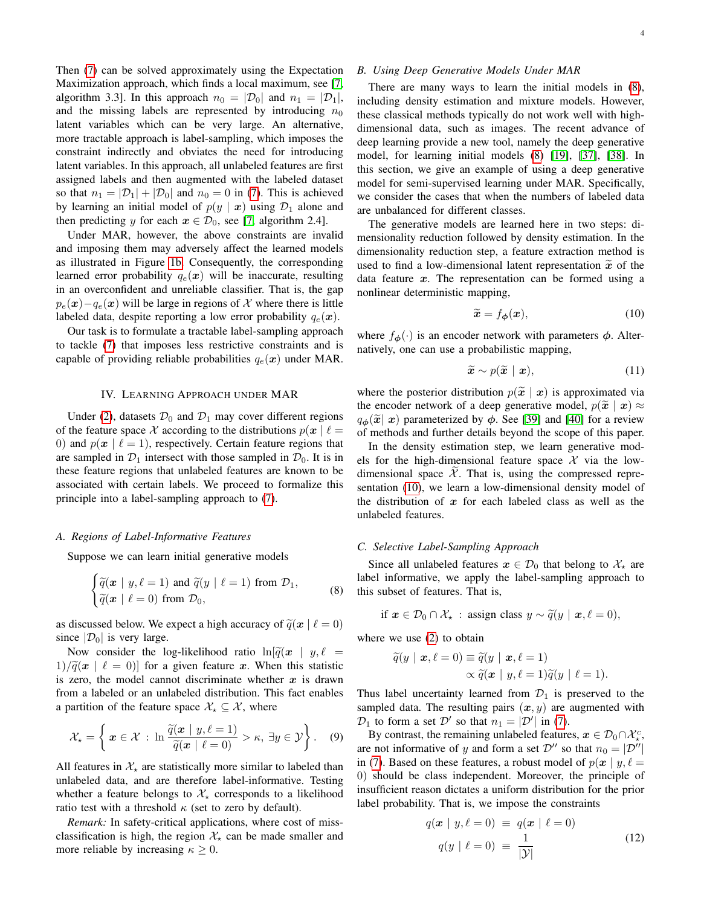Then [\(7\)](#page-2-3) can be solved approximately using the Expectation Maximization approach, which finds a local maximum, see [\[7,](#page-6-6) algorithm 3.3]. In this approach  $n_0 = |\mathcal{D}_0|$  and  $n_1 = |\mathcal{D}_1|$ , and the missing labels are represented by introducing  $n_0$ latent variables which can be very large. An alternative, more tractable approach is label-sampling, which imposes the constraint indirectly and obviates the need for introducing latent variables. In this approach, all unlabeled features are first assigned labels and then augmented with the labeled dataset so that  $n_1 = |\mathcal{D}_1| + |\mathcal{D}_0|$  and  $n_0 = 0$  in [\(7\)](#page-2-3). This is achieved by learning an initial model of  $p(y | x)$  using  $\mathcal{D}_1$  alone and then predicting y for each  $x \in \mathcal{D}_0$ , see [\[7,](#page-6-6) algorithm 2.4].

Under MAR, however, the above constraints are invalid and imposing them may adversely affect the learned models as illustrated in Figure [1b.](#page-1-0) Consequently, the corresponding learned error probability  $q_e(x)$  will be inaccurate, resulting in an overconfident and unreliable classifier. That is, the gap  $p_e(x)-q_e(x)$  will be large in regions of X where there is little labeled data, despite reporting a low error probability  $q_e(x)$ .

Our task is to formulate a tractable label-sampling approach to tackle [\(7\)](#page-2-3) that imposes less restrictive constraints and is capable of providing reliable probabilities  $q_e(x)$  under MAR.

## IV. LEARNING APPROACH UNDER MAR

<span id="page-3-0"></span>Under [\(2\)](#page-0-0), datasets  $\mathcal{D}_0$  and  $\mathcal{D}_1$  may cover different regions of the feature space X according to the distributions  $p(x | \ell =$ 0) and  $p(x | \ell = 1)$ , respectively. Certain feature regions that are sampled in  $\mathcal{D}_1$  intersect with those sampled in  $\mathcal{D}_0$ . It is in these feature regions that unlabeled features are known to be associated with certain labels. We proceed to formalize this principle into a label-sampling approach to [\(7\)](#page-2-3).

#### *A. Regions of Label-Informative Features*

Suppose we can learn initial generative models

<span id="page-3-1"></span>
$$
\begin{cases}\n\widetilde{q}(\boldsymbol{x} \mid y, \ell=1) \text{ and } \widetilde{q}(y \mid \ell=1) \text{ from } \mathcal{D}_1, \\
\widetilde{q}(\boldsymbol{x} \mid \ell=0) \text{ from } \mathcal{D}_0,\n\end{cases}
$$
\n(8)

as discussed below. We expect a high accuracy of  $\tilde{q}(x \mid \ell = 0)$ since  $|\mathcal{D}_0|$  is very large.

Now consider the log-likelihood ratio  $\ln[\tilde{q}(x \mid y, \ell =$  $1/\tilde{q}(x \mid \ell = 0)$  for a given feature x. When this statistic is zero, the model cannot discriminate whether  $x$  is drawn from a labeled or an unlabeled distribution. This fact enables a partition of the feature space  $\mathcal{X}_{\star} \subset \mathcal{X}$ , where

<span id="page-3-4"></span>
$$
\mathcal{X}_{\star} = \left\{ \boldsymbol{x} \in \mathcal{X} \, : \, \ln \frac{\widetilde{q}(\boldsymbol{x} \mid y, \ell=1)}{\widetilde{q}(\boldsymbol{x} \mid \ell=0)} > \kappa, \, \exists y \in \mathcal{Y} \right\}. \tag{9}
$$

All features in  $\mathcal{X}_*$  are statistically more similar to labeled than unlabeled data, and are therefore label-informative. Testing whether a feature belongs to  $\mathcal{X}_*$  corresponds to a likelihood ratio test with a threshold  $\kappa$  (set to zero by default).

*Remark:* In safety-critical applications, where cost of missclassification is high, the region  $\mathcal{X}_{\star}$  can be made smaller and more reliable by increasing  $\kappa \geq 0$ .

# *B. Using Deep Generative Models Under MAR*

There are many ways to learn the initial models in [\(8\)](#page-3-1), including density estimation and mixture models. However, these classical methods typically do not work well with highdimensional data, such as images. The recent advance of deep learning provide a new tool, namely the deep generative model, for learning initial models [\(8\)](#page-3-1) [\[19\]](#page-7-5), [\[37\]](#page-7-23), [\[38\]](#page-7-24). In this section, we give an example of using a deep generative model for semi-supervised learning under MAR. Specifically, we consider the cases that when the numbers of labeled data are unbalanced for different classes.

The generative models are learned here in two steps: dimensionality reduction followed by density estimation. In the dimensionality reduction step, a feature extraction method is used to find a low-dimensional latent representation  $\tilde{x}$  of the data feature  $x$ . The representation can be formed using a nonlinear deterministic mapping,

<span id="page-3-2"></span>
$$
\widetilde{\boldsymbol{x}} = f_{\boldsymbol{\phi}}(\boldsymbol{x}),\tag{10}
$$

where  $f_{\phi}(\cdot)$  is an encoder network with parameters  $\phi$ . Alternatively, one can use a probabilistic mapping,

$$
\widetilde{\boldsymbol{x}} \sim p(\widetilde{\boldsymbol{x}} \mid \boldsymbol{x}),\tag{11}
$$

where the posterior distribution  $p(\tilde{x} | x)$  is approximated via the encoder network of a deep generative model,  $p(\tilde{x} | x) \approx$  $q_{\phi}(\tilde{x} | x)$  parameterized by  $\phi$ . See [\[39\]](#page-7-25) and [\[40\]](#page-7-26) for a review of methods and further details beyond the scope of this paper.

In the density estimation step, we learn generative models for the high-dimensional feature space  $\mathcal X$  via the lowdimensional space  $X$ . That is, using the compressed representation [\(10\)](#page-3-2), we learn a low-dimensional density model of the distribution of  $x$  for each labeled class as well as the unlabeled features.

## *C. Selective Label-Sampling Approach*

Since all unlabeled features  $x \in \mathcal{D}_0$  that belong to  $\mathcal{X}_*$  are label informative, we apply the label-sampling approach to this subset of features. That is,

if  $x \in \mathcal{D}_0 \cap \mathcal{X}_\star$  : assign class  $y \sim \tilde{q}(y \mid x, \ell = 0),$ 

where we use [\(2\)](#page-0-0) to obtain

$$
\widetilde{q}(y \mid \boldsymbol{x}, \ell = 0) \equiv \widetilde{q}(y \mid \boldsymbol{x}, \ell = 1) \propto \widetilde{q}(\boldsymbol{x} \mid y, \ell = 1) \widetilde{q}(y \mid \ell = 1).
$$

Thus label uncertainty learned from  $\mathcal{D}_1$  is preserved to the sampled data. The resulting pairs  $(x, y)$  are augmented with  $\mathcal{D}_1$  to form a set  $\mathcal{D}'$  so that  $n_1 = |\mathcal{D}'|$  in [\(7\)](#page-2-3).

By contrast, the remaining unlabeled features,  $x \in \mathcal{D}_0 \cap \mathcal{X}^c_\star$ , are not informative of y and form a set  $\mathcal{D}''$  so that  $n_0 = |\mathcal{D}''|$ in [\(7\)](#page-2-3). Based on these features, a robust model of  $p(x | y, \ell =$ 0) should be class independent. Moreover, the principle of insufficient reason dictates a uniform distribution for the prior label probability. That is, we impose the constraints

<span id="page-3-3"></span>
$$
q(\mathbf{x} \mid y, \ell = 0) \equiv q(\mathbf{x} \mid \ell = 0)
$$
  

$$
q(y \mid \ell = 0) \equiv \frac{1}{|\mathcal{Y}|}
$$
 (12)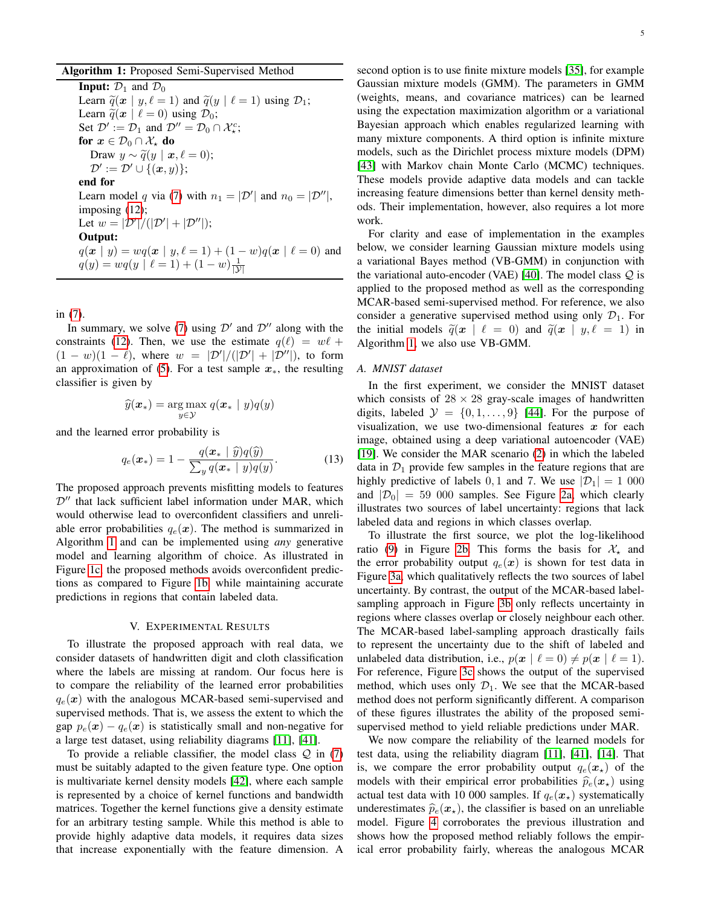<span id="page-4-0"></span>**Input:**  $\mathcal{D}_1$  and  $\mathcal{D}_0$ Learn  $\tilde{q}(x \mid y, \ell = 1)$  and  $\tilde{q}(y \mid \ell = 1)$  using  $\mathcal{D}_1$ ; Learn  $\tilde{q}(x \mid \ell = 0)$  using  $\mathcal{D}_0$ ; Set  $\mathcal{D}' := \mathcal{D}_1$  and  $\mathcal{D}'' = \mathcal{D}_0 \cap \mathcal{X}^c_\star$ ; for  $x \in \mathcal{D}_0 \cap \mathcal{X}_*$  do Draw  $y \sim \tilde{q}(y \mid \boldsymbol{x}, \ell = 0);$  $\mathcal{D}' := \mathcal{D}' \cup \{(\boldsymbol{x}, y)\};$ end for Learn model q via [\(7\)](#page-2-3) with  $n_1 = |\mathcal{D}'|$  and  $n_0 = |\mathcal{D}''|$ , imposing [\(12\)](#page-3-3); Let  $w = |\mathcal{D}'|/(|\mathcal{D}'| + |\mathcal{D}''|);$ Output:  $q(x | y) = wq(x | y, \ell = 1) + (1 - w)q(x | \ell = 0)$  and  $q(y) = wq(y \mid \ell = 1) + (1 - w)\frac{1}{|\mathcal{Y}|}$ 

in [\(7\)](#page-2-3).

In summary, we solve [\(7\)](#page-2-3) using  $\mathcal{D}'$  and  $\mathcal{D}''$  along with the constraints [\(12\)](#page-3-3). Then, we use the estimate  $q(\ell) = w\ell +$  $(1 - w)(1 - \ell)$ , where  $w = |\mathcal{D}'|/(|\mathcal{D}'| + |\mathcal{D}''|)$ , to form an approximation of [\(5\)](#page-2-0). For a test sample  $x<sub>*</sub>$ , the resulting classifier is given by

$$
\widehat{y}(\boldsymbol{x}_*) = \argmax_{y \in \mathcal{Y}} q(\boldsymbol{x}_* \mid y) q(y)
$$

and the learned error probability is

$$
q_e(\boldsymbol{x}_*) = 1 - \frac{q(\boldsymbol{x}_* \mid \widehat{y})q(\widehat{y})}{\sum_{y} q(\boldsymbol{x}_* \mid y)q(y)}.
$$
 (13)

The proposed approach prevents misfitting models to features  $\mathcal{D}^{\prime\prime}$  that lack sufficient label information under MAR, which would otherwise lead to overconfident classifiers and unreliable error probabilities  $q_e(x)$ . The method is summarized in Algorithm [1](#page-4-0) and can be implemented using *any* generative model and learning algorithm of choice. As illustrated in Figure [1c,](#page-1-0) the proposed methods avoids overconfident predictions as compared to Figure [1b,](#page-1-0) while maintaining accurate predictions in regions that contain labeled data.

#### V. EXPERIMENTAL RESULTS

To illustrate the proposed approach with real data, we consider datasets of handwritten digit and cloth classification where the labels are missing at random. Our focus here is to compare the reliability of the learned error probabilities  $q_e(x)$  with the analogous MCAR-based semi-supervised and supervised methods. That is, we assess the extent to which the gap  $p_e(x) - q_e(x)$  is statistically small and non-negative for a large test dataset, using reliability diagrams [\[11\]](#page-6-10), [\[41\]](#page-7-27).

To provide a reliable classifier, the model class  $Q$  in [\(7\)](#page-2-3) must be suitably adapted to the given feature type. One option is multivariate kernel density models [\[42\]](#page-7-28), where each sample is represented by a choice of kernel functions and bandwidth matrices. Together the kernel functions give a density estimate for an arbitrary testing sample. While this method is able to provide highly adaptive data models, it requires data sizes that increase exponentially with the feature dimension. A

5

second option is to use finite mixture models [\[35\]](#page-7-21), for example Gaussian mixture models (GMM). The parameters in GMM (weights, means, and covariance matrices) can be learned using the expectation maximization algorithm or a variational Bayesian approach which enables regularized learning with many mixture components. A third option is infinite mixture models, such as the Dirichlet process mixture models (DPM) [\[43\]](#page-7-29) with Markov chain Monte Carlo (MCMC) techniques. These models provide adaptive data models and can tackle increasing feature dimensions better than kernel density methods. Their implementation, however, also requires a lot more work.

For clarity and ease of implementation in the examples below, we consider learning Gaussian mixture models using a variational Bayes method (VB-GMM) in conjunction with the variational auto-encoder (VAE) [\[40\]](#page-7-26). The model class  $Q$  is applied to the proposed method as well as the corresponding MCAR-based semi-supervised method. For reference, we also consider a generative supervised method using only  $\mathcal{D}_1$ . For the initial models  $\tilde{q}(x \mid \ell = 0)$  and  $\tilde{q}(x \mid y, \ell = 1)$  in Algorithm [1,](#page-4-0) we also use VB-GMM.

## *A. MNIST dataset*

In the first experiment, we consider the MNIST dataset which consists of  $28 \times 28$  gray-scale images of handwritten digits, labeled  $\mathcal{Y} = \{0, 1, \ldots, 9\}$  [\[44\]](#page-7-30). For the purpose of visualization, we use two-dimensional features  $x$  for each image, obtained using a deep variational autoencoder (VAE) [\[19\]](#page-7-5). We consider the MAR scenario [\(2\)](#page-0-0) in which the labeled data in  $\mathcal{D}_1$  provide few samples in the feature regions that are highly predictive of labels 0, 1 and 7. We use  $|\mathcal{D}_1| = 1000$ and  $|\mathcal{D}_0| = 59\,000$  samples. See Figure [2a,](#page-5-0) which clearly illustrates two sources of label uncertainty: regions that lack labeled data and regions in which classes overlap.

To illustrate the first source, we plot the log-likelihood ratio [\(9\)](#page-3-4) in Figure [2b.](#page-5-0) This forms the basis for  $\mathcal{X}_{\star}$  and the error probability output  $q_e(x)$  is shown for test data in Figure [3a,](#page-5-1) which qualitatively reflects the two sources of label uncertainty. By contrast, the output of the MCAR-based labelsampling approach in Figure [3b](#page-5-1) only reflects uncertainty in regions where classes overlap or closely neighbour each other. The MCAR-based label-sampling approach drastically fails to represent the uncertainty due to the shift of labeled and unlabeled data distribution, i.e.,  $p(x | \ell = 0) \neq p(x | \ell = 1)$ . For reference, Figure [3c](#page-5-1) shows the output of the supervised method, which uses only  $\mathcal{D}_1$ . We see that the MCAR-based method does not perform significantly different. A comparison of these figures illustrates the ability of the proposed semisupervised method to yield reliable predictions under MAR.

We now compare the reliability of the learned models for test data, using the reliability diagram [\[11\]](#page-6-10), [\[41\]](#page-7-27), [\[14\]](#page-7-0). That is, we compare the error probability output  $q_e(x)$  of the models with their empirical error probabilities  $\hat{p}_e(\mathbf{x}_*)$  using actual test data with 10 000 samples. If  $q_e(x)$  systematically underestimates  $\hat{p}_e(\mathbf{x}_\star)$ , the classifier is based on an unreliable model. Figure [4](#page-5-2) corroborates the previous illustration and shows how the proposed method reliably follows the empirical error probability fairly, whereas the analogous MCAR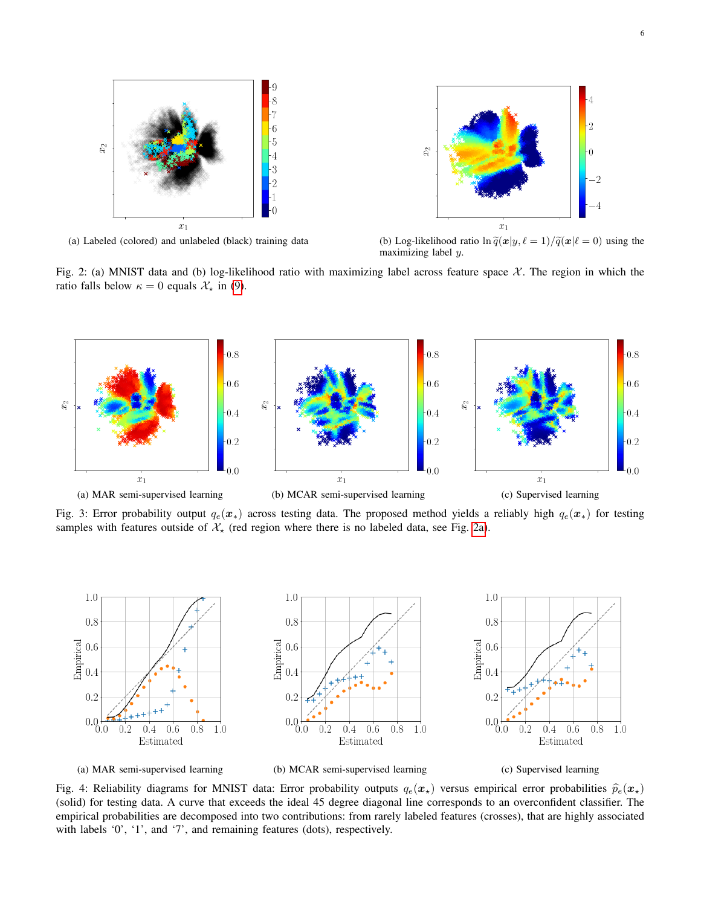<span id="page-5-0"></span>

(a) Labeled (colored) and unlabeled (black) training data (b) Log-likelihood ratio  $\ln \tilde{q}(x|y, \ell = 1)/\tilde{q}(x|\ell = 0)$  using the maximizing label y.

Fig. 2: (a) MNIST data and (b) log-likelihood ratio with maximizing label across feature space  $\mathcal{X}$ . The region in which the ratio falls below  $\kappa = 0$  equals  $\mathcal{X}_{\star}$  in [\(9\)](#page-3-4).

<span id="page-5-1"></span>

Fig. 3: Error probability output  $q_e(x_*)$  across testing data. The proposed method yields a reliably high  $q_e(x_*)$  for testing samples with features outside of  $\mathcal{X}_*$  (red region where there is no labeled data, see Fig. [2a\)](#page-5-0).

<span id="page-5-2"></span>

Fig. 4: Reliability diagrams for MNIST data: Error probability outputs  $q_e(x_\star)$  versus empirical error probabilities  $\hat{p}_e(x_\star)$ (solid) for testing data. A curve that exceeds the ideal 45 degree diagonal line corresponds to an overconfident classifier. The empirical probabilities are decomposed into two contributions: from rarely labeled features (crosses), that are highly associated with labels '0', '1', and '7', and remaining features (dots), respectively.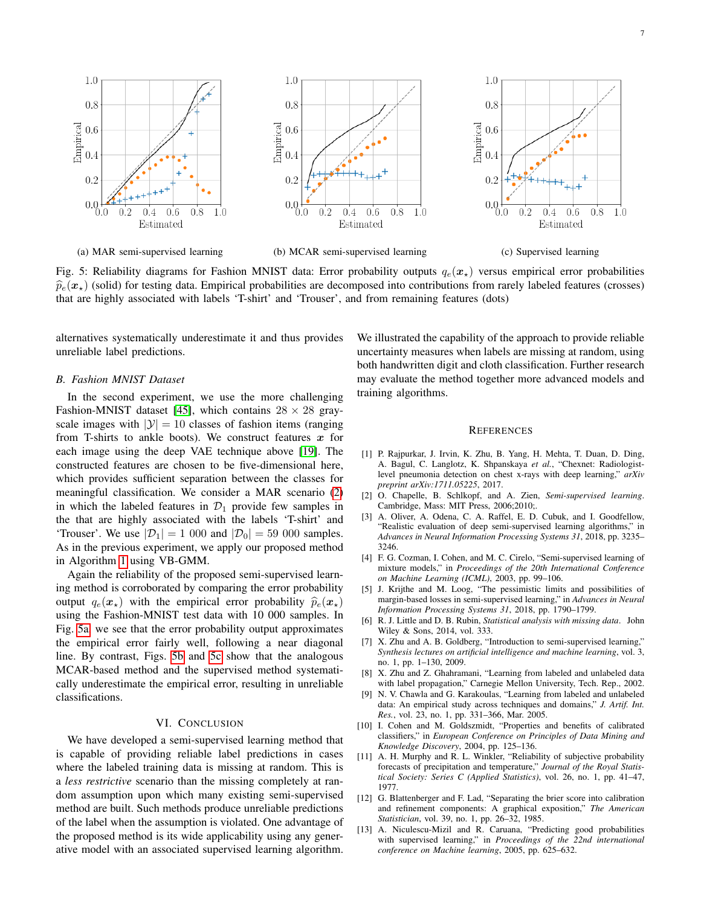<span id="page-6-13"></span>

(a) MAR semi-supervised learning (b) MCAR semi-supervised learning (c) Supervised learning

Fig. 5: Reliability diagrams for Fashion MNIST data: Error probability outputs  $q_e(x_\star)$  versus empirical error probabilities  $\hat{p}_e(\mathbf{x}_\star)$  (solid) for testing data. Empirical probabilities are decomposed into contributions from rarely labeled features (crosses) that are highly associated with labels 'T-shirt' and 'Trouser', and from remaining features (dots)

alternatives systematically underestimate it and thus provides unreliable label predictions.

#### *B. Fashion MNIST Dataset*

In the second experiment, we use the more challenging Fashion-MNIST dataset [\[45\]](#page-7-31), which contains  $28 \times 28$  grayscale images with  $|\mathcal{Y}| = 10$  classes of fashion items (ranging from T-shirts to ankle boots). We construct features  $x$  for each image using the deep VAE technique above [\[19\]](#page-7-5). The constructed features are chosen to be five-dimensional here, which provides sufficient separation between the classes for meaningful classification. We consider a MAR scenario [\(2\)](#page-0-0) in which the labeled features in  $\mathcal{D}_1$  provide few samples in the that are highly associated with the labels 'T-shirt' and 'Trouser'. We use  $|\mathcal{D}_1| = 1$  000 and  $|\mathcal{D}_0| = 59$  000 samples. As in the previous experiment, we apply our proposed method in Algorithm [1](#page-4-0) using VB-GMM.

Again the reliability of the proposed semi-supervised learning method is corroborated by comparing the error probability output  $q_e(x)$  with the empirical error probability  $\hat{p}_e(x)$ using the Fashion-MNIST test data with 10 000 samples. In Fig. [5a,](#page-6-13) we see that the error probability output approximates the empirical error fairly well, following a near diagonal line. By contrast, Figs. [5b](#page-6-13) and [5c](#page-6-13) show that the analogous MCAR-based method and the supervised method systematically underestimate the empirical error, resulting in unreliable classifications.

# VI. CONCLUSION

We have developed a semi-supervised learning method that is capable of providing reliable label predictions in cases where the labeled training data is missing at random. This is a *less restrictive* scenario than the missing completely at random assumption upon which many existing semi-supervised method are built. Such methods produce unreliable predictions of the label when the assumption is violated. One advantage of the proposed method is its wide applicability using any generative model with an associated supervised learning algorithm. We illustrated the capability of the approach to provide reliable uncertainty measures when labels are missing at random, using both handwritten digit and cloth classification. Further research may evaluate the method together more advanced models and training algorithms.

#### **REFERENCES**

- <span id="page-6-0"></span>[1] P. Rajpurkar, J. Irvin, K. Zhu, B. Yang, H. Mehta, T. Duan, D. Ding, A. Bagul, C. Langlotz, K. Shpanskaya *et al.*, "Chexnet: Radiologistlevel pneumonia detection on chest x-rays with deep learning," *arXiv preprint arXiv:1711.05225*, 2017.
- <span id="page-6-1"></span>[2] O. Chapelle, B. Schlkopf, and A. Zien, *Semi-supervised learning*. Cambridge, Mass: MIT Press, 2006;2010;.
- <span id="page-6-2"></span>[3] A. Oliver, A. Odena, C. A. Raffel, E. D. Cubuk, and I. Goodfellow, "Realistic evaluation of deep semi-supervised learning algorithms," in *Advances in Neural Information Processing Systems 31*, 2018, pp. 3235– 3246.
- <span id="page-6-3"></span>[4] F. G. Cozman, I. Cohen, and M. C. Cirelo, "Semi-supervised learning of mixture models," in *Proceedings of the 20th International Conference on Machine Learning (ICML)*, 2003, pp. 99–106.
- <span id="page-6-4"></span>[5] J. Krijthe and M. Loog, "The pessimistic limits and possibilities of margin-based losses in semi-supervised learning," in *Advances in Neural Information Processing Systems 31*, 2018, pp. 1790–1799.
- <span id="page-6-5"></span>[6] R. J. Little and D. B. Rubin, *Statistical analysis with missing data*. John Wiley & Sons, 2014, vol. 333.
- <span id="page-6-6"></span>[7] X. Zhu and A. B. Goldberg, "Introduction to semi-supervised learning," *Synthesis lectures on artificial intelligence and machine learning*, vol. 3, no. 1, pp. 1–130, 2009.
- <span id="page-6-7"></span>[8] X. Zhu and Z. Ghahramani, "Learning from labeled and unlabeled data with label propagation," Carnegie Mellon University, Tech. Rep., 2002.
- <span id="page-6-8"></span>[9] N. V. Chawla and G. Karakoulas, "Learning from labeled and unlabeled data: An empirical study across techniques and domains," *J. Artif. Int. Res.*, vol. 23, no. 1, pp. 331–366, Mar. 2005.
- <span id="page-6-9"></span>[10] I. Cohen and M. Goldszmidt, "Properties and benefits of calibrated classifiers," in *European Conference on Principles of Data Mining and Knowledge Discovery*, 2004, pp. 125–136.
- <span id="page-6-10"></span>[11] A. H. Murphy and R. L. Winkler, "Reliability of subjective probability forecasts of precipitation and temperature," *Journal of the Royal Statistical Society: Series C (Applied Statistics)*, vol. 26, no. 1, pp. 41–47, 1977.
- <span id="page-6-11"></span>[12] G. Blattenberger and F. Lad, "Separating the brier score into calibration and refinement components: A graphical exposition," *The American Statistician*, vol. 39, no. 1, pp. 26–32, 1985.
- <span id="page-6-12"></span>[13] A. Niculescu-Mizil and R. Caruana, "Predicting good probabilities with supervised learning," in *Proceedings of the 22nd international conference on Machine learning*, 2005, pp. 625–632.